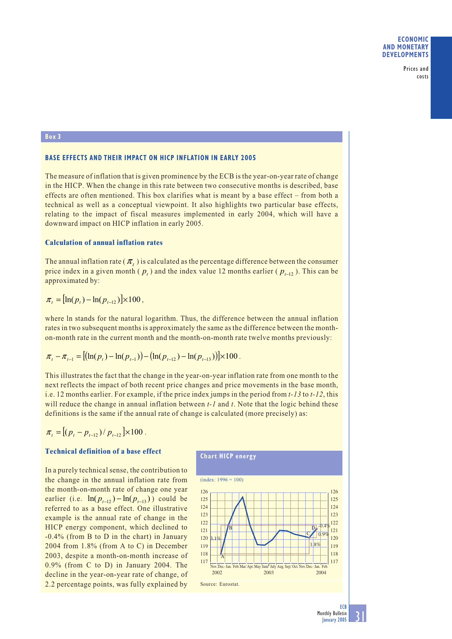Prices and costs

# **Box 3**

# **BASE EFFECTS AND THEIR IMPACT ON HICP INFLATION IN EARLY 2005**

The measure of inflation that is given prominence by the ECB is the year-on-year rate of change in the HICP. When the change in this rate between two consecutive months is described, base effects are often mentioned. This box clarifies what is meant by a base effect – from both a technical as well as a conceptual viewpoint. It also highlights two particular base effects, relating to the impact of fiscal measures implemented in early 2004, which will have a downward impact on HICP inflation in early 2005.

### **Calculation of annual inflation rates**

The annual inflation rate  $(\pi)$  is calculated as the percentage difference between the consumer price index in a given month ( $p_t$ ) and the index value 12 months earlier ( $p_{t-12}$ ). This can be approximated by:

$$
\pi_{t} = [\ln(p_{t}) - \ln(p_{t-12})] \times 100,
$$

where ln stands for the natural logarithm. Thus, the difference between the annual inflation rates in two subsequent months is approximately the same as the difference between the monthon-month rate in the current month and the month-on-month rate twelve months previously:

$$
\pi_{t} - \pi_{t-1} = [(\ln(p_{t}) - \ln(p_{t-1})) - (\ln(p_{t-12}) - \ln(p_{t-13}))] \times 100.
$$

This illustrates the fact that the change in the year-on-year inflation rate from one month to the next reflects the impact of both recent price changes and price movements in the base month, i.e. 12 months earlier. For example, if the price index jumps in the period from *t-13* to *t-12*, this will reduce the change in annual inflation between *t-1* and *t*. Note that the logic behind these definitions is the same if the annual rate of change is calculated (more precisely) as:

$$
\pi_{t} = \left[ (p_{t} - p_{t-12}) / p_{t-12} \right] \times 100.
$$

## **Technical definition of a base effect**

In a purely technical sense, the contribution to the change in the annual inflation rate from the month-on-month rate of change one year earlier (i.e.  $\ln (p_{t-12}) - \ln (p_{t-13})$ ) could be referred to as a base effect. One illustrative example is the annual rate of change in the HICP energy component, which declined to -0.4% (from B to D in the chart) in January 2004 from 1.8% (from A to C) in December 2003, despite a month-on-month increase of 0.9% (from C to D) in January 2004. The decline in the year-on-year rate of change, of 2.2 percentage points, was fully explained by



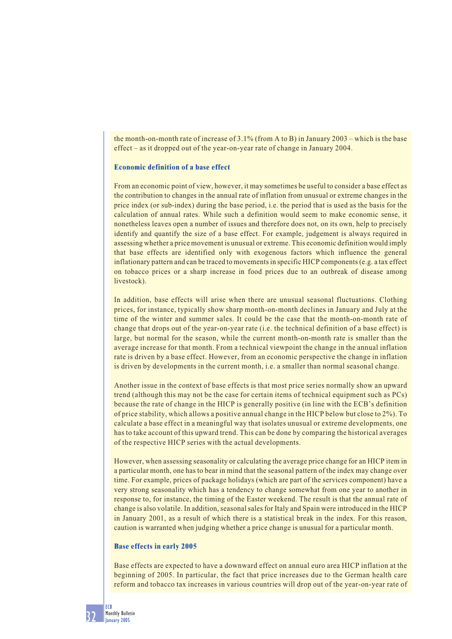the month-on-month rate of increase of 3.1% (from A to B) in January 2003 – which is the base effect – as it dropped out of the year-on-year rate of change in January 2004.

### **Economic definition of a base effect**

From an economic point of view, however, it may sometimes be useful to consider a base effect as the contribution to changes in the annual rate of inflation from unusual or extreme changes in the price index (or sub-index) during the base period, i.e. the period that is used as the basis for the calculation of annual rates. While such a definition would seem to make economic sense, it nonetheless leaves open a number of issues and therefore does not, on its own, help to precisely identify and quantify the size of a base effect. For example, judgement is always required in assessing whether a price movement is unusual or extreme. This economic definition would imply that base effects are identified only with exogenous factors which influence the general inflationary pattern and can be traced to movements in specific HICP components (e.g. a tax effect on tobacco prices or a sharp increase in food prices due to an outbreak of disease among livestock).

In addition, base effects will arise when there are unusual seasonal fluctuations. Clothing prices, for instance, typically show sharp month-on-month declines in January and July at the time of the winter and summer sales. It could be the case that the month-on-month rate of change that drops out of the year-on-year rate (i.e. the technical definition of a base effect) is large, but normal for the season, while the current month-on-month rate is smaller than the average increase for that month. From a technical viewpoint the change in the annual inflation rate is driven by a base effect. However, from an economic perspective the change in inflation is driven by developments in the current month, i.e. a smaller than normal seasonal change.

Another issue in the context of base effects is that most price series normally show an upward trend (although this may not be the case for certain items of technical equipment such as PCs) because the rate of change in the HICP is generally positive (in line with the ECB's definition of price stability, which allows a positive annual change in the HICP below but close to 2%). To calculate a base effect in a meaningful way that isolates unusual or extreme developments, one has to take account of this upward trend. This can be done by comparing the historical averages of the respective HICP series with the actual developments.

However, when assessing seasonality or calculating the average price change for an HICP item in a particular month, one has to bear in mind that the seasonal pattern of the index may change over time. For example, prices of package holidays (which are part of the services component) have a very strong seasonality which has a tendency to change somewhat from one year to another in response to, for instance, the timing of the Easter weekend. The result is that the annual rate of change is also volatile. In addition, seasonal sales for Italy and Spain were introduced in the HICP in January 2001, as a result of which there is a statistical break in the index. For this reason, caution is warranted when judging whether a price change is unusual for a particular month.

#### **Base effects in early 2005**

Base effects are expected to have a downward effect on annual euro area HICP inflation at the beginning of 2005. In particular, the fact that price increases due to the German health care reform and tobacco tax increases in various countries will drop out of the year-on-year rate of